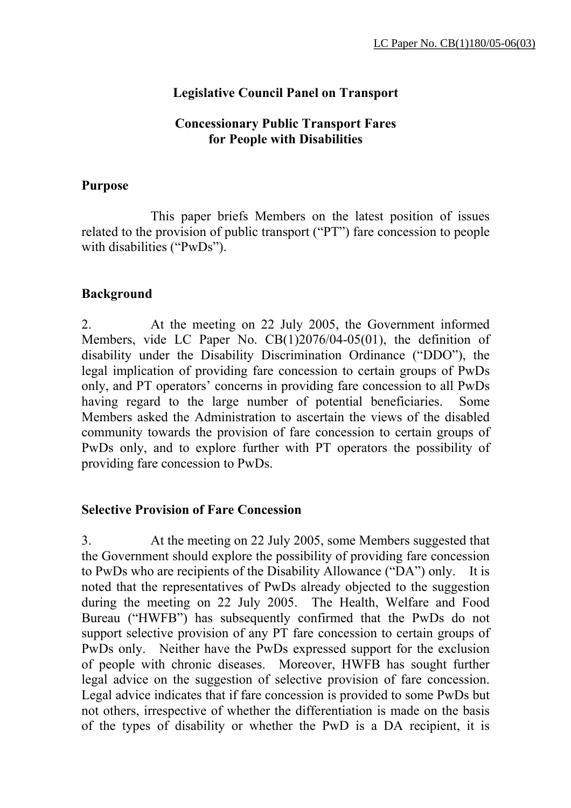# **Legislative Council Panel on Transport**

### **Concessionary Public Transport Fares for People with Disabilities**

### **Purpose**

 This paper briefs Members on the latest position of issues related to the provision of public transport ("PT") fare concession to people with disabilities ("PwDs").

### **Background**

2. At the meeting on 22 July 2005, the Government informed Members, vide LC Paper No. CB(1)2076/04-05(01), the definition of disability under the Disability Discrimination Ordinance ("DDO"), the legal implication of providing fare concession to certain groups of PwDs only, and PT operators' concerns in providing fare concession to all PwDs having regard to the large number of potential beneficiaries. Some Members asked the Administration to ascertain the views of the disabled community towards the provision of fare concession to certain groups of PwDs only, and to explore further with PT operators the possibility of providing fare concession to PwDs.

#### **Selective Provision of Fare Concession**

3. At the meeting on 22 July 2005, some Members suggested that the Government should explore the possibility of providing fare concession to PwDs who are recipients of the Disability Allowance ("DA") only. It is noted that the representatives of PwDs already objected to the suggestion during the meeting on 22 July 2005. The Health, Welfare and Food Bureau ("HWFB") has subsequently confirmed that the PwDs do not support selective provision of any PT fare concession to certain groups of PwDs only. Neither have the PwDs expressed support for the exclusion of people with chronic diseases. Moreover, HWFB has sought further legal advice on the suggestion of selective provision of fare concession. Legal advice indicates that if fare concession is provided to some PwDs but not others, irrespective of whether the differentiation is made on the basis of the types of disability or whether the PwD is a DA recipient, it is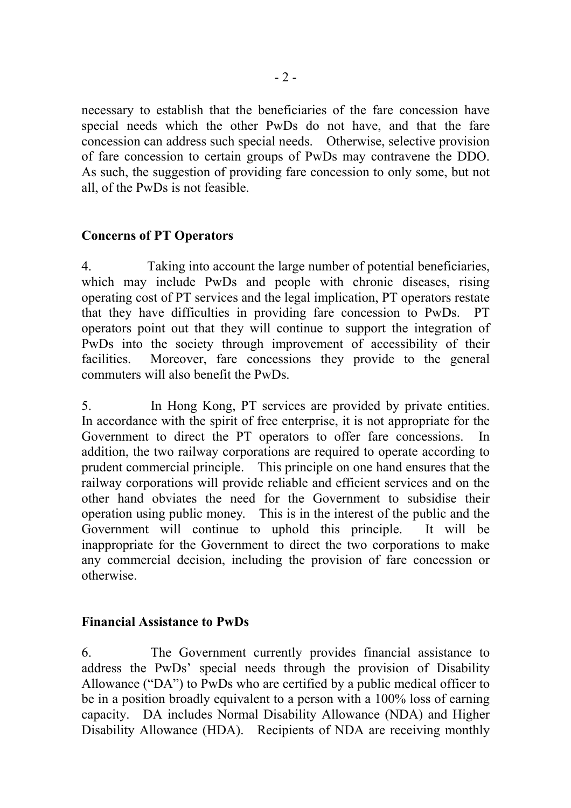necessary to establish that the beneficiaries of the fare concession have special needs which the other PwDs do not have, and that the fare concession can address such special needs. Otherwise, selective provision of fare concession to certain groups of PwDs may contravene the DDO. As such, the suggestion of providing fare concession to only some, but not all, of the PwDs is not feasible.

## **Concerns of PT Operators**

4. Taking into account the large number of potential beneficiaries, which may include PwDs and people with chronic diseases, rising operating cost of PT services and the legal implication, PT operators restate that they have difficulties in providing fare concession to PwDs. PT operators point out that they will continue to support the integration of PwDs into the society through improvement of accessibility of their facilities. Moreover, fare concessions they provide to the general commuters will also benefit the PwDs.

5. In Hong Kong, PT services are provided by private entities. In accordance with the spirit of free enterprise, it is not appropriate for the Government to direct the PT operators to offer fare concessions. In addition, the two railway corporations are required to operate according to prudent commercial principle. This principle on one hand ensures that the railway corporations will provide reliable and efficient services and on the other hand obviates the need for the Government to subsidise their operation using public money. This is in the interest of the public and the Government will continue to uphold this principle. It will be inappropriate for the Government to direct the two corporations to make any commercial decision, including the provision of fare concession or otherwise.

### **Financial Assistance to PwDs**

6. The Government currently provides financial assistance to address the PwDs' special needs through the provision of Disability Allowance ("DA") to PwDs who are certified by a public medical officer to be in a position broadly equivalent to a person with a 100% loss of earning capacity. DA includes Normal Disability Allowance (NDA) and Higher Disability Allowance (HDA). Recipients of NDA are receiving monthly